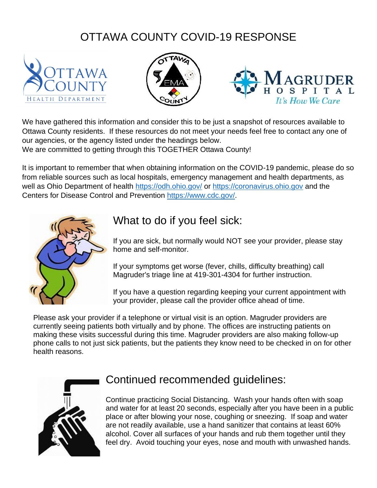## OTTAWA COUNTY COVID-19 RESPONSE







We have gathered this information and consider this to be just a snapshot of resources available to Ottawa County residents. If these resources do not meet your needs feel free to contact any one of our agencies, or the agency listed under the headings below.

We are committed to getting through this TOGETHER Ottawa County!

It is important to remember that when obtaining information on the COVID-19 pandemic, please do so from reliable sources such as local hospitals, emergency management and health departments, as well as Ohio Department of health<https://odh.ohio.gov/> or [https://coronavirus.ohio.gov](https://coronavirus.ohio.gov/) and the Centers for Disease Control and Prevention [https://www.cdc.gov/.](https://www.cdc.gov/)



### What to do if you feel sick:

If you are sick, but normally would NOT see your provider, please stay home and self-monitor.

If your symptoms get worse (fever, chills, difficulty breathing) call Magruder's triage line at 419-301-4304 for further instruction.

If you have a question regarding keeping your current appointment with your provider, please call the provider office ahead of time.

Please ask your provider if a telephone or virtual visit is an option. Magruder providers are currently seeing patients both virtually and by phone. The offices are instructing patients on making these visits successful during this time. Magruder providers are also making follow-up phone calls to not just sick patients, but the patients they know need to be checked in on for other health reasons.



### Continued recommended guidelines:

Continue practicing Social Distancing. Wash your hands often with soap and water for at least 20 seconds, especially after you have been in a public place or after blowing your nose, coughing or sneezing. If soap and water are not readily available, use a hand sanitizer that contains at least 60% alcohol. Cover all surfaces of your hands and rub them together until they feel dry. Avoid touching your eyes, nose and mouth with unwashed hands.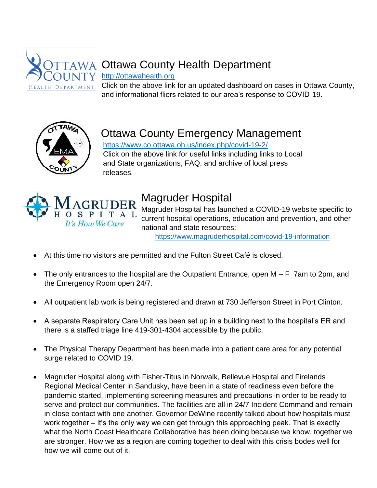

# AWA Ottawa County Health Department

#### [http://ottawahealth.org](http://ottawahealth.org/)

Click on the above link for an updated dashboard on cases in Ottawa County, and informational fliers related to our area's response to COVID-19.



# Ottawa County Emergency Management

 <https://www.co.ottawa.oh.us/index.php/covid-19-2/> Click on the above link for useful links including links to Local and State organizations, FAQ, and archive of local press releases.



# Magruder Hospital

Magruder Hospital has launched a COVID-19 website specific to current hospital operations, education and prevention, and other national and state resources:

<https://www.magruderhospital.com/covid-19-information>

- At this time no visitors are permitted and the Fulton Street Café is closed.
- The only entrances to the hospital are the Outpatient Entrance, open M F 7am to 2pm, and the Emergency Room open 24/7.
- All outpatient lab work is being registered and drawn at 730 Jefferson Street in Port Clinton.
- A separate Respiratory Care Unit has been set up in a building next to the hospital's ER and there is a staffed triage line 419-301-4304 accessible by the public.
- The Physical Therapy Department has been made into a patient care area for any potential surge related to COVID 19.
- Magruder Hospital along with Fisher-Titus in Norwalk, Bellevue Hospital and Firelands Regional Medical Center in Sandusky, have been in a state of readiness even before the pandemic started, implementing screening measures and precautions in order to be ready to serve and protect our communities. The facilities are all in 24/7 Incident Command and remain in close contact with one another. Governor DeWine recently talked about how hospitals must work together – it's the only way we can get through this approaching peak. That is exactly what the North Coast Healthcare Collaborative has been doing because we know, together we are stronger. How we as a region are coming together to deal with this crisis bodes well for how we will come out of it.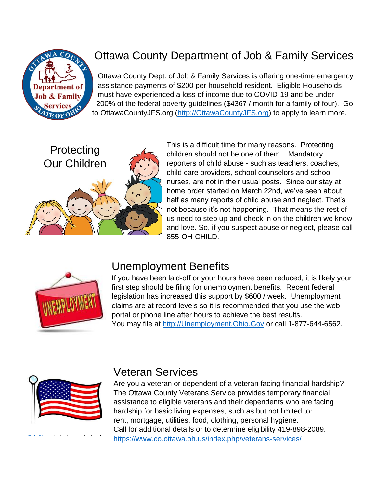

# Ottawa County Department of Job & Family Services

Ottawa County Dept. of Job & Family Services is offering one-time emergency assistance payments of \$200 per household resident. Eligible Households must have experienced a loss of income due to COVID-19 and be under 200% of the federal poverty guidelines (\$4367 / month for a family of four). Go to OttawaCountyJFS.org [\(http://OttawaCountyJFS.org\)](http://ottawacountyjfs.org/) to apply to learn more.



This is a difficult time for many reasons. Protecting children should not be one of them. Mandatory reporters of child abuse - such as teachers, coaches, child care providers, school counselors and school nurses, are not in their usual posts. Since our stay at home order started on March 22nd, we've seen about half as many reports of child abuse and neglect. That's not because it's not happening. That means the rest of us need to step up and check in on the children we know and love. So, if you suspect abuse or neglect, please call 855-OH-CHILD.



### Unemployment Benefits

If you have been laid-off or your hours have been reduced, it is likely your first step should be filing for unemployment benefits. Recent federal legislation has increased this support by \$600 / week. Unemployment claims are at record levels so it is recommended that you use the web portal or phone line after hours to achieve the best results. You may file at [http://Unemployment.Ohio.Gov](http://unemployment.ohio.gov/) or call 1-877-644-6562.



[This Photo](http://www.lifeinthepitts.com/2010_04_01_archive.html) by Unknown Author is

#### Veteran Services

Are you a veteran or dependent of a veteran facing financial hardship? The Ottawa County Veterans Service provides temporary financial assistance to eligible veterans and their dependents who are facing hardship for basic living expenses, such as but not limited to: rent, mortgage, utilities, food, clothing, personal hygiene. Call for additional details or to determine eligibility 419-898-2089. <https://www.co.ottawa.oh.us/index.php/veterans-services/>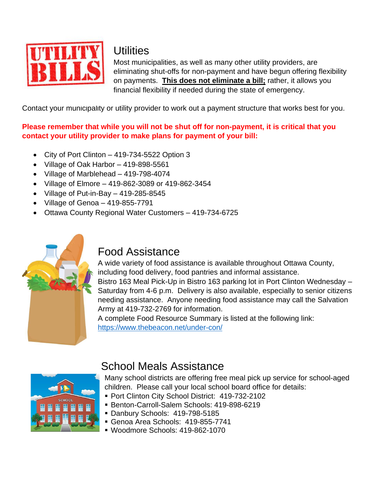

#### **Utilities**

Most municipalities, as well as many other utility providers, are eliminating shut-offs for non-payment and have begun offering flexibility on payments. **This does not eliminate a bill;** rather, it allows you financial flexibility if needed during the state of emergency.

Contact your municipality or utility provider to work out a payment structure that works best for you.

#### **Please remember that while you will not be shut off for non-payment, it is critical that you contact your utility provider to make plans for payment of your bill:**

- City of Port Clinton 419-734-5522 Option 3
- Village of Oak Harbor 419-898-5561
- Village of Marblehead 419-798-4074
- Village of Elmore 419-862-3089 or 419-862-3454
- Village of Put-in-Bay 419-285-8545
- $\bullet$  Village of Genoa 419-855-7791
- Ottawa County Regional Water Customers 419-734-6725



### Food Assistance

A wide variety of food assistance is available throughout Ottawa County, including food delivery, food pantries and informal assistance. Bistro 163 Meal Pick-Up in Bistro 163 parking lot in Port Clinton Wednesday – Saturday from 4-6 p.m. Delivery is also available, especially to senior citizens needing assistance. Anyone needing food assistance may call the Salvation Army at 419-732-2769 for information.

A complete Food Resource Summary is listed at the following link: <https://www.thebeacon.net/under-con/>



## School Meals Assistance

Many school districts are offering free meal pick up service for school-aged children. Please call your local school board office for details:

- Port Clinton City School District: 419-732-2102
- Benton-Carroll-Salem Schools: 419-898-6219
- Danbury Schools: 419-798-5185
- Genoa Area Schools: 419-855-7741
- Woodmore Schools: 419-862-1070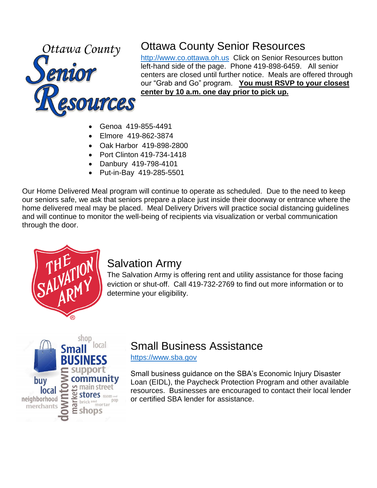

# Ottawa County Senior Resources

[http://www.co.ottawa.oh.us](http://www.co.ottawa.oh.us/) Click on Senior Resources button left-hand side of the page. Phone 419-898-6459. All senior centers are closed until further notice. Meals are offered through our "Grab and Go" program. **You must RSVP to your closest center by 10 a.m. one day prior to pick up.**

- Genoa 419-855-4491
- Elmore 419-862-3874
- Oak Harbor 419-898-2800
- Port Clinton 419-734-1418
- Danbury 419-798-4101
- Put-in-Bay 419-285-5501

Our Home Delivered Meal program will continue to operate as scheduled. Due to the need to keep our seniors safe, we ask that seniors prepare a place just inside their doorway or entrance where the home delivered meal may be placed. Meal Delivery Drivers will practice social distancing guidelines and will continue to monitor the well-being of recipients via visualization or verbal communication through the door.



#### Salvation Army

The Salvation Army is offering rent and utility assistance for those facing eviction or shut-off. Call 419-732-2769 to find out more information or to determine your eligibility.



## Small Business Assistance

[https://www.sba.gov](https://www.sba.gov/)

Small business guidance on the SBA's Economic Injury Disaster Loan (EIDL), the Paycheck Protection Program and other available resources. Businesses are encouraged to contact their local lender or certified SBA lender for assistance.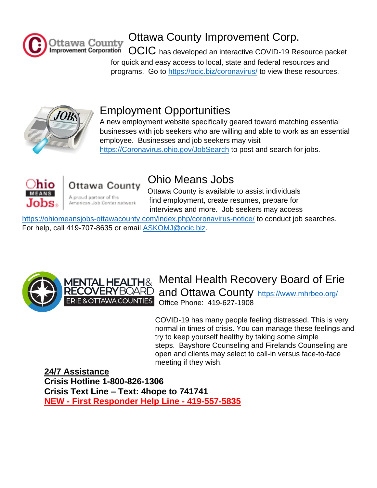

# Ottawa County Improvement Corp.

OCIC has developed an interactive COVID-19 Resource packet for quick and easy access to local, state and federal resources and programs. Go to <https://ocic.biz/>coronavirus/ to view these resources.



# Employment Opportunities

A new employment website specifically geared toward matching essential businesses with job seekers who are willing and able to work as an essential employee. Businesses and job seekers may visit [https://Coronavirus.ohio.gov/JobSearch](https://coronavirus.ohio.gov/JobSearch) to post and search for jobs.



# Ottawa County

A proud partner of the American Job Center network

# Ohio Means Jobs

Ottawa County is available to assist individuals find employment, create resumes, prepare for interviews and more. Job seekers may access

<https://ohiomeansjobs-ottawacounty.com/index.php/coronavirus-notice/> to conduct job searches. For help, call 419-707-8635 or email [ASKOMJ@ocic.biz.](mailto:ASKOMJ@ocic.biz)





## Mental Health Recovery Board of Erie and Ottawa County https://www.mhrbeo.org/

Office Phone: 419-627-1908

COVID-19 has many people feeling distressed. This is very normal in times of crisis. You can manage these feelings and try to keep yourself healthy by taking some simple steps. Bayshore Counseling and Firelands Counseling are open and clients may select to call-in versus face-to-face meeting if they wish.

**24/7 Assistance Crisis Hotline 1-800-826-1306 Crisis Text Line – Text: 4hope to 741741 NEW - First Responder Help Line - 419-557-5835**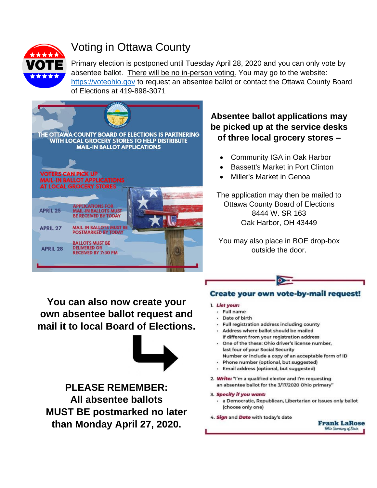

# Voting in Ottawa County

Primary election is postponed until Tuesday April 28, 2020 and you can only vote by absentee ballot. There will be no in-person voting. You may go to the website: [https://voteohio.gov](https://voteohio.gov/) to request an absentee ballot or contact the Ottawa County Board of Elections at 419-898-3071



#### **Absentee ballot applications may be picked up at the service desks of three local grocery stores –**

- Community IGA in Oak Harbor
- Bassett's Market in Port Clinton
- Miller's Market in Genoa

The application may then be mailed to Ottawa County Board of Elections 8444 W. SR 163 Oak Harbor, OH 43449

You may also place in BOE drop-box outside the door.

**You can also now create your own absentee ballot request and mail it to local Board of Elections.**



**PLEASE REMEMBER: All absentee ballots MUST BE postmarked no later than Monday April 27, 2020.**

#### **Create your own vote-by-mail request!**

#### 1. List your:

- Full name
- Date of birth
- Full registration address including county
- Address where ballot should be mailed
- if different from your registration address One of the these: Ohio driver's license number,
- last four of your Social Security Number or include a copy of an acceptable form of ID
- Phone number (optional, but suggested)  $\mathbf{r}$
- · Email address (optional, but suggested)
- 2. Write: "I'm a qualified elector and I'm requesting an absentee ballot for the 3/17/2020 Ohio primary"
- 3. Specify if you want:
	- · a Democratic, Republican, Libertarian or Issues only ballot (choose only one)
- 4. Sign and Date with today's date

**Frank LaRose** Ohio Secretary of State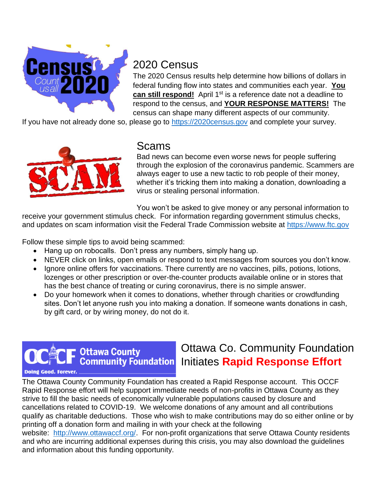

### 2020 Census

The 2020 Census results help determine how billions of dollars in federal funding flow into states and communities each year. **You can still respond!** April 1<sup>st</sup> is a reference date not a deadline to respond to the census, and **YOUR RESPONSE MATTERS!** The census can shape many different aspects of our community.

If you have not already done so, please go to [https://2020census.gov](https://2020census.gov/) and complete your survey.



#### Scams

Bad news can become even worse news for people suffering through the explosion of the coronavirus pandemic. Scammers are always eager to use a new tactic to rob people of their money, whether it's tricking them into making a donation, downloading a virus or stealing personal information.

You won't be asked to give money or any personal information to

receive your government stimulus check. For information regarding government stimulus checks, and updates on scam information visit the Federal Trade Commission website at [https://www.ftc.gov](https://www.ftc.gov/)

Follow these simple tips to avoid being scammed:

- Hang up on robocalls. Don't press any numbers, simply hang up.
- NEVER click on links, open emails or respond to text messages from sources you don't know.
- Ignore online offers for vaccinations. There currently are no vaccines, pills, potions, lotions, lozenges or other prescription or over-the-counter products available online or in stores that has the best chance of treating or curing coronavirus, there is no simple answer.
- Do your homework when it comes to donations, whether through charities or crowdfunding sites. Don't let anyone rush you into making a donation. If someone wants donations in cash, by gift card, or by wiring money, do not do it.

### **Ottawa County Community Foundation**

### Ottawa Co. Community Foundation Initiates **Rapid Response Effort**

**Doing Good. Forever** 

The Ottawa County Community Foundation has created a Rapid Response account. This OCCF Rapid Response effort will help support immediate needs of non-profits in Ottawa County as they strive to fill the basic needs of economically vulnerable populations caused by closure and cancellations related to COVID-19. We welcome donations of any amount and all contributions qualify as charitable deductions. Those who wish to make contributions may do so either online or by printing off a donation form and mailing in with your check at the following website: [http://www.ottawaccf.org/.](http://www.ottawaccf.org/) For non-profit organizations that serve Ottawa County residents and who are incurring additional expenses during this crisis, you may also download the guidelines and information about this funding opportunity.